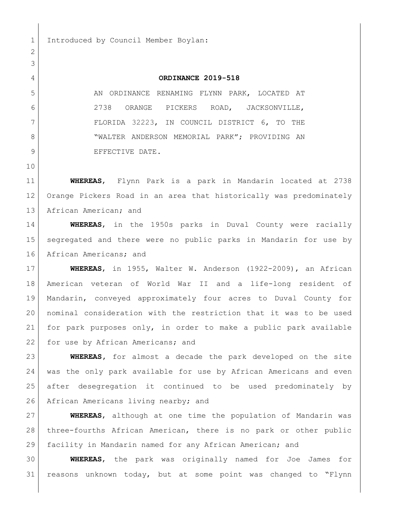1 Introduced by Council Member Boylan:

## **ORDINANCE 2019-518**

5 AN ORDINANCE RENAMING FLYNN PARK, LOCATED AT 2738 ORANGE PICKERS ROAD, JACKSONVILLE, FLORIDA 32223, IN COUNCIL DISTRICT 6, TO THE 8 WALTER ANDERSON MEMORIAL PARK"; PROVIDING AN 9 BEFECTIVE DATE.

 

 **WHEREAS**, Flynn Park is a park in Mandarin located at 2738 Orange Pickers Road in an area that historically was predominately 13 African American; and

 **WHEREAS**, in the 1950s parks in Duval County were racially segregated and there were no public parks in Mandarin for use by 16 African Americans; and

 **WHEREAS**, in 1955, Walter W. Anderson (1922-2009), an African American veteran of World War II and a life-long resident of Mandarin, conveyed approximately four acres to Duval County for nominal consideration with the restriction that it was to be used for park purposes only, in order to make a public park available 22 | for use by African Americans; and

 **WHEREAS,** for almost a decade the park developed on the site was the only park available for use by African Americans and even after desegregation it continued to be used predominately by 26 African Americans living nearby; and

 **WHEREAS**, although at one time the population of Mandarin was three-fourths African American, there is no park or other public facility in Mandarin named for any African American; and

 **WHEREAS**, the park was originally named for Joe James for reasons unknown today, but at some point was changed to "Flynn